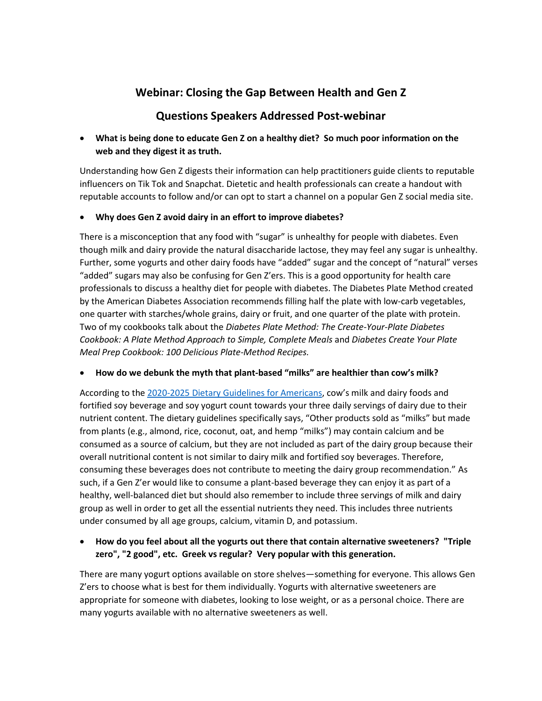# **Webinar: Closing the Gap Between Health and Gen Z**

## **Questions Speakers Addressed Post-webinar**

### • **What is being done to educate Gen Z on a healthy diet? So much poor information on the web and they digest it as truth.**

Understanding how Gen Z digests their information can help practitioners guide clients to reputable influencers on Tik Tok and Snapchat. Dietetic and health professionals can create a handout with reputable accounts to follow and/or can opt to start a channel on a popular Gen Z social media site.

### • **Why does Gen Z avoid dairy in an effort to improve diabetes?**

There is a misconception that any food with "sugar" is unhealthy for people with diabetes. Even though milk and dairy provide the natural disaccharide lactose, they may feel any sugar is unhealthy. Further, some yogurts and other dairy foods have "added" sugar and the concept of "natural" verses "added" sugars may also be confusing for Gen Z'ers. This is a good opportunity for health care professionals to discuss a healthy diet for people with diabetes. The Diabetes Plate Method created by the American Diabetes Association recommends filling half the plate with low-carb vegetables, one quarter with starches/whole grains, dairy or fruit, and one quarter of the plate with protein. Two of my cookbooks talk about the *Diabetes Plate Method: The Create-Your-Plate Diabetes Cookbook: A Plate Method Approach to Simple, Complete Meals* and *Diabetes Create Your Plate Meal Prep Cookbook: 100 Delicious Plate-Method Recipes.*

#### • **How do we debunk the myth that plant-based "milks" are healthier than cow's milk?**

According to th[e 2020-2025 Dietary Guidelines for Americans](https://www.dietaryguidelines.gov/sites/default/files/2020-12/Dietary_Guidelines_for_Americans_2020-2025.pdf), cow's milk and dairy foods and fortified soy beverage and soy yogurt count towards your three daily servings of dairy due to their nutrient content. The dietary guidelines specifically says, "Other products sold as "milks" but made from plants (e.g., almond, rice, coconut, oat, and hemp "milks") may contain calcium and be consumed as a source of calcium, but they are not included as part of the dairy group because their overall nutritional content is not similar to dairy milk and fortified soy beverages. Therefore, consuming these beverages does not contribute to meeting the dairy group recommendation." As such, if a Gen Z'er would like to consume a plant-based beverage they can enjoy it as part of a healthy, well-balanced diet but should also remember to include three servings of milk and dairy group as well in order to get all the essential nutrients they need. This includes three nutrients under consumed by all age groups, calcium, vitamin D, and potassium.

### • **How do you feel about all the yogurts out there that contain alternative sweeteners? "Triple zero", "2 good", etc. Greek vs regular? Very popular with this generation.**

There are many yogurt options available on store shelves—something for everyone. This allows Gen Z'ers to choose what is best for them individually. Yogurts with alternative sweeteners are appropriate for someone with diabetes, looking to lose weight, or as a personal choice. There are many yogurts available with no alternative sweeteners as well.